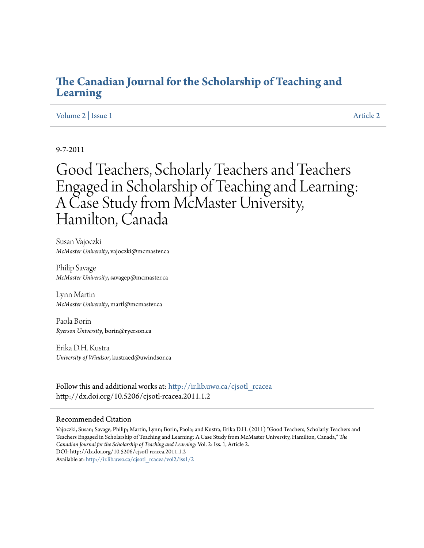## **[The Canadian Journal for the Scholarship of Teaching and](http://ir.lib.uwo.ca/cjsotl_rcacea?utm_source=ir.lib.uwo.ca%2Fcjsotl_rcacea%2Fvol2%2Fiss1%2F2&utm_medium=PDF&utm_campaign=PDFCoverPages) [Learning](http://ir.lib.uwo.ca/cjsotl_rcacea?utm_source=ir.lib.uwo.ca%2Fcjsotl_rcacea%2Fvol2%2Fiss1%2F2&utm_medium=PDF&utm_campaign=PDFCoverPages)**

## [Volume 2](http://ir.lib.uwo.ca/cjsotl_rcacea/vol2?utm_source=ir.lib.uwo.ca%2Fcjsotl_rcacea%2Fvol2%2Fiss1%2F2&utm_medium=PDF&utm_campaign=PDFCoverPages) | [Issue 1](http://ir.lib.uwo.ca/cjsotl_rcacea/vol2/iss1?utm_source=ir.lib.uwo.ca%2Fcjsotl_rcacea%2Fvol2%2Fiss1%2F2&utm_medium=PDF&utm_campaign=PDFCoverPages) [Article 2](http://ir.lib.uwo.ca/cjsotl_rcacea/vol2/iss1/2?utm_source=ir.lib.uwo.ca%2Fcjsotl_rcacea%2Fvol2%2Fiss1%2F2&utm_medium=PDF&utm_campaign=PDFCoverPages)

9-7-2011

# Good Teachers, Scholarly Teachers and Teachers Engaged in Scholarship of Teaching and Learning: A Case Study from McMaster University, Hamilton, Canada

Susan Vajoczki *McMaster University*, vajoczki@mcmaster.ca

Philip Savage *McMaster University*, savagep@mcmaster.ca

Lynn Martin *McMaster University*, martl@mcmaster.ca

Paola Borin *Ryerson University*, borin@ryerson.ca

Erika D.H. Kustra *University of Windsor*, kustraed@uwindsor.ca

Follow this and additional works at: [http://ir.lib.uwo.ca/cjsotl\\_rcacea](http://ir.lib.uwo.ca/cjsotl_rcacea?utm_source=ir.lib.uwo.ca%2Fcjsotl_rcacea%2Fvol2%2Fiss1%2F2&utm_medium=PDF&utm_campaign=PDFCoverPages) http://dx.doi.org/10.5206/cjsotl-rcacea.2011.1.2

#### Recommended Citation

Vajoczki, Susan; Savage, Philip; Martin, Lynn; Borin, Paola; and Kustra, Erika D.H. (2011) "Good Teachers, Scholarly Teachers and Teachers Engaged in Scholarship of Teaching and Learning: A Case Study from McMaster University, Hamilton, Canada," *The Canadian Journal for the Scholarship of Teaching and Learning*: Vol. 2: Iss. 1, Article 2. DOI: http://dx.doi.org/10.5206/cjsotl-rcacea.2011.1.2 Available at: [http://ir.lib.uwo.ca/cjsotl\\_rcacea/vol2/iss1/2](http://ir.lib.uwo.ca/cjsotl_rcacea/vol2/iss1/2?utm_source=ir.lib.uwo.ca%2Fcjsotl_rcacea%2Fvol2%2Fiss1%2F2&utm_medium=PDF&utm_campaign=PDFCoverPages)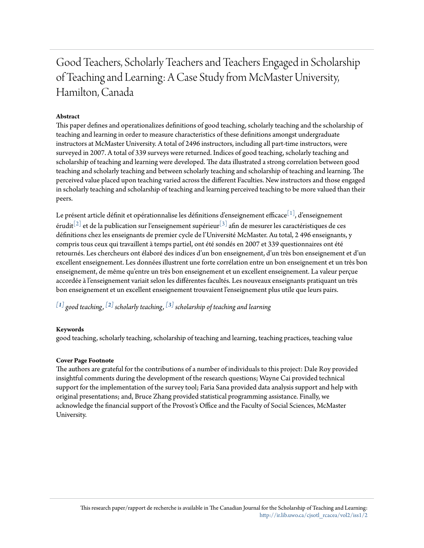## Good Teachers, Scholarly Teachers and Teachers Engaged in Scholarship of Teaching and Learning: A Case Study from McMaster University, Hamilton, Canada

### **Abstract**

This paper defines and operationalizes definitions of good teaching, scholarly teaching and the scholarship of teaching and learning in order to measure characteristics of these definitions amongst undergraduate instructors at McMaster University. A total of 2496 instructors, including all part-time instructors, were surveyed in 2007. A total of 339 surveys were returned. Indices of good teaching, scholarly teaching and scholarship of teaching and learning were developed. The data illustrated a strong correlation between good teaching and scholarly teaching and between scholarly teaching and scholarship of teaching and learning. The perceived value placed upon teaching varied across the different Faculties. New instructors and those engaged in scholarly teaching and scholarship of teaching and learning perceived teaching to be more valued than their peers.

Le présent article définit et opérationnalise les définitions d'enseignement efficace $^{\lfloor 1 \rfloor}$ , d'enseignement érudit<sup>[\[2\]](http://ir.lib.uwo.ca/cgi/submit.cgi?article=1033&context=cjsotl_rcacea&editpanel=editor_frame&edbypass=1#_ftn2)</sup> et de la publication sur l'enseignement supérieur<sup>[\[3\]](http://ir.lib.uwo.ca/cgi/submit.cgi?article=1033&context=cjsotl_rcacea&editpanel=editor_frame&edbypass=1#_ftn3)</sup> afin de mesurer les caractéristiques de ces définitions chez les enseignants de premier cycle de l'Université McMaster. Au total, 2 496 enseignants, y compris tous ceux qui travaillent à temps partiel, ont été sondés en 2007 et 339 questionnaires ont été retournés. Les chercheurs ont élaboré des indices d'un bon enseignement, d'un très bon enseignement et d'un excellent enseignement. Les données illustrent une forte corrélation entre un bon enseignement et un très bon enseignement, de même qu'entre un très bon enseignement et un excellent enseignement. La valeur perçue accordée à l'enseignement variait selon les différentes facultés. Les nouveaux enseignants pratiquant un très bon enseignement et un excellent enseignement trouvaient l'enseignement plus utile que leurs pairs.

 $^{\lfloor 1 \rfloor}$  good teaching,  $^{\lfloor 2 \rfloor}$  scholarly teaching,  $^{\lfloor 3 \rfloor}$  scholarship of teaching and learning

#### **Keywords**

good teaching, scholarly teaching, scholarship of teaching and learning, teaching practices, teaching value

#### **Cover Page Footnote**

The authors are grateful for the contributions of a number of individuals to this project: Dale Roy provided insightful comments during the development of the research questions; Wayne Cai provided technical support for the implementation of the survey tool; Faria Sana provided data analysis support and help with original presentations; and, Bruce Zhang provided statistical programming assistance. Finally, we acknowledge the financial support of the Provost's Office and the Faculty of Social Sciences, McMaster University.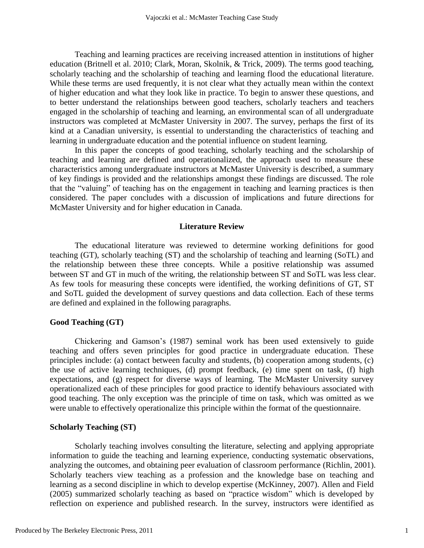Teaching and learning practices are receiving increased attention in institutions of higher education (Britnell et al. 2010; Clark, Moran, Skolnik, & Trick, 2009). The terms good teaching, scholarly teaching and the scholarship of teaching and learning flood the educational literature. While these terms are used frequently, it is not clear what they actually mean within the context of higher education and what they look like in practice. To begin to answer these questions, and to better understand the relationships between good teachers, scholarly teachers and teachers engaged in the scholarship of teaching and learning, an environmental scan of all undergraduate instructors was completed at McMaster University in 2007. The survey, perhaps the first of its kind at a Canadian university, is essential to understanding the characteristics of teaching and learning in undergraduate education and the potential influence on student learning.

In this paper the concepts of good teaching, scholarly teaching and the scholarship of teaching and learning are defined and operationalized, the approach used to measure these characteristics among undergraduate instructors at McMaster University is described, a summary of key findings is provided and the relationships amongst these findings are discussed. The role that the "valuing" of teaching has on the engagement in teaching and learning practices is then considered. The paper concludes with a discussion of implications and future directions for McMaster University and for higher education in Canada.

#### **Literature Review**

The educational literature was reviewed to determine working definitions for good teaching (GT), scholarly teaching (ST) and the scholarship of teaching and learning (SoTL) and the relationship between these three concepts. While a positive relationship was assumed between ST and GT in much of the writing, the relationship between ST and SoTL was less clear. As few tools for measuring these concepts were identified, the working definitions of GT, ST and SoTL guided the development of survey questions and data collection. Each of these terms are defined and explained in the following paragraphs.

#### **Good Teaching (GT)**

Chickering and Gamson's (1987) seminal work has been used extensively to guide teaching and offers seven principles for good practice in undergraduate education. These principles include: (a) contact between faculty and students, (b) cooperation among students, (c) the use of active learning techniques, (d) prompt feedback, (e) time spent on task, (f) high expectations, and (g) respect for diverse ways of learning. The McMaster University survey operationalized each of these principles for good practice to identify behaviours associated with good teaching. The only exception was the principle of time on task, which was omitted as we were unable to effectively operationalize this principle within the format of the questionnaire.

#### **Scholarly Teaching (ST)**

Scholarly teaching involves consulting the literature, selecting and applying appropriate information to guide the teaching and learning experience, conducting systematic observations, analyzing the outcomes, and obtaining peer evaluation of classroom performance (Richlin, 2001). Scholarly teachers view teaching as a profession and the knowledge base on teaching and learning as a second discipline in which to develop expertise (McKinney, 2007). Allen and Field (2005) summarized scholarly teaching as based on "practice wisdom" which is developed by reflection on experience and published research. In the survey, instructors were identified as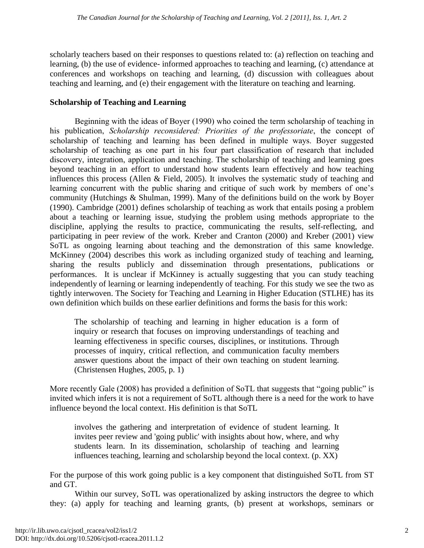scholarly teachers based on their responses to questions related to: (a) reflection on teaching and learning, (b) the use of evidence- informed approaches to teaching and learning, (c) attendance at conferences and workshops on teaching and learning, (d) discussion with colleagues about teaching and learning, and (e) their engagement with the literature on teaching and learning.

## **Scholarship of Teaching and Learning**

Beginning with the ideas of Boyer (1990) who coined the term scholarship of teaching in his publication, *Scholarship reconsidered: Priorities of the professoriate*, the concept of scholarship of teaching and learning has been defined in multiple ways. Boyer suggested scholarship of teaching as one part in his four part classification of research that included discovery, integration, application and teaching. The scholarship of teaching and learning goes beyond teaching in an effort to understand how students learn effectively and how teaching influences this process (Allen & Field, 2005). It involves the systematic study of teaching and learning concurrent with the public sharing and critique of such work by members of one's community (Hutchings & Shulman, 1999). Many of the definitions build on the work by Boyer (1990). Cambridge (2001) defines scholarship of teaching as work that entails posing a problem about a teaching or learning issue, studying the problem using methods appropriate to the discipline, applying the results to practice, communicating the results, self-reflecting, and participating in peer review of the work. Kreber and Cranton (2000) and Kreber (2001) view SoTL as ongoing learning about teaching and the demonstration of this same knowledge. McKinney (2004) describes this work as including organized study of teaching and learning, sharing the results publicly and dissemination through presentations, publications or performances. It is unclear if McKinney is actually suggesting that you can study teaching independently of learning or learning independently of teaching. For this study we see the two as tightly interwoven. The Society for Teaching and Learning in Higher Education (STLHE) has its own definition which builds on these earlier definitions and forms the basis for this work:

The scholarship of teaching and learning in higher education is a form of inquiry or research that focuses on improving understandings of teaching and learning effectiveness in specific courses, disciplines, or institutions. Through processes of inquiry, critical reflection, and communication faculty members answer questions about the impact of their own teaching on student learning. (Christensen Hughes, 2005, p. 1)

More recently Gale (2008) has provided a definition of SoTL that suggests that "going public" is invited which infers it is not a requirement of SoTL although there is a need for the work to have influence beyond the local context. His definition is that SoTL

involves the gathering and interpretation of evidence of student learning. It invites peer review and 'going public' with insights about how, where, and why students learn. In its dissemination, scholarship of teaching and learning influences teaching, learning and scholarship beyond the local context. (p. XX)

For the purpose of this work going public is a key component that distinguished SoTL from ST and GT.

Within our survey, SoTL was operationalized by asking instructors the degree to which they: (a) apply for teaching and learning grants, (b) present at workshops, seminars or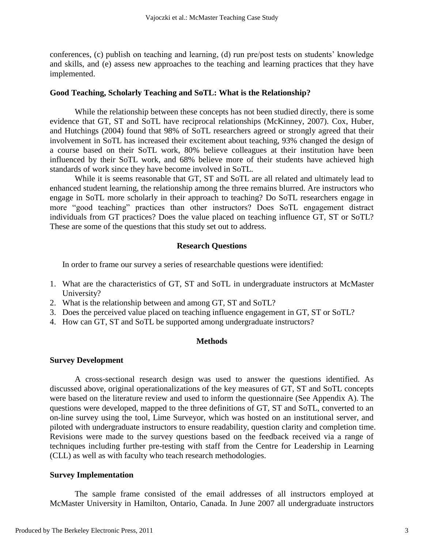conferences, (c) publish on teaching and learning, (d) run pre/post tests on students' knowledge and skills, and (e) assess new approaches to the teaching and learning practices that they have implemented.

## **Good Teaching, Scholarly Teaching and SoTL: What is the Relationship?**

While the relationship between these concepts has not been studied directly, there is some evidence that GT, ST and SoTL have reciprocal relationships (McKinney, 2007). Cox, Huber, and Hutchings (2004) found that 98% of SoTL researchers agreed or strongly agreed that their involvement in SoTL has increased their excitement about teaching, 93% changed the design of a course based on their SoTL work, 80% believe colleagues at their institution have been influenced by their SoTL work, and 68% believe more of their students have achieved high standards of work since they have become involved in SoTL.

While it is seems reasonable that GT, ST and SoTL are all related and ultimately lead to enhanced student learning, the relationship among the three remains blurred. Are instructors who engage in SoTL more scholarly in their approach to teaching? Do SoTL researchers engage in more "good teaching" practices than other instructors? Does SoTL engagement distract individuals from GT practices? Does the value placed on teaching influence GT, ST or SoTL? These are some of the questions that this study set out to address.

## **Research Questions**

In order to frame our survey a series of researchable questions were identified:

- 1. What are the characteristics of GT, ST and SoTL in undergraduate instructors at McMaster University?
- 2. What is the relationship between and among GT, ST and SoTL?
- 3. Does the perceived value placed on teaching influence engagement in GT, ST or SoTL?
- 4. How can GT, ST and SoTL be supported among undergraduate instructors?

## **Methods**

### **Survey Development**

A cross-sectional research design was used to answer the questions identified. As discussed above, original operationalizations of the key measures of GT, ST and SoTL concepts were based on the literature review and used to inform the questionnaire (See Appendix A). The questions were developed, mapped to the three definitions of GT, ST and SoTL, converted to an on-line survey using the tool, Lime Surveyor, which was hosted on an institutional server, and piloted with undergraduate instructors to ensure readability, question clarity and completion time. Revisions were made to the survey questions based on the feedback received via a range of techniques including further pre-testing with staff from the Centre for Leadership in Learning (CLL) as well as with faculty who teach research methodologies.

### **Survey Implementation**

The sample frame consisted of the email addresses of all instructors employed at McMaster University in Hamilton, Ontario, Canada. In June 2007 all undergraduate instructors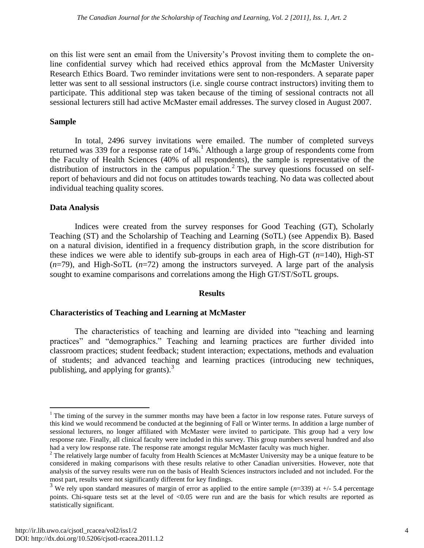on this list were sent an email from the University's Provost inviting them to complete the online confidential survey which had received ethics approval from the McMaster University Research Ethics Board. Two reminder invitations were sent to non-responders. A separate paper letter was sent to all sessional instructors (i.e. single course contract instructors) inviting them to participate. This additional step was taken because of the timing of sessional contracts not all sessional lecturers still had active McMaster email addresses. The survey closed in August 2007.

## **Sample**

In total, 2496 survey invitations were emailed. The number of completed surveys returned was 339 for a response rate of  $14\%$ .<sup>1</sup> Although a large group of respondents come from the Faculty of Health Sciences (40% of all respondents), the sample is representative of the distribution of instructors in the campus population.<sup>2</sup> The survey questions focussed on selfreport of behaviours and did not focus on attitudes towards teaching. No data was collected about individual teaching quality scores.

## **Data Analysis**

Indices were created from the survey responses for Good Teaching (GT), Scholarly Teaching (ST) and the Scholarship of Teaching and Learning (SoTL) (see Appendix B). Based on a natural division, identified in a frequency distribution graph, in the score distribution for these indices we were able to identify sub-groups in each area of High-GT (*n*=140), High-ST (*n*=79), and High-SoTL (*n*=72) among the instructors surveyed. A large part of the analysis sought to examine comparisons and correlations among the High GT/ST/SoTL groups.

### **Results**

### **Characteristics of Teaching and Learning at McMaster**

The characteristics of teaching and learning are divided into "teaching and learning practices" and "demographics." Teaching and learning practices are further divided into classroom practices; student feedback; student interaction; expectations, methods and evaluation of students; and advanced teaching and learning practices (introducing new techniques, publishing, and applying for grants). $3$ 

 $\overline{a}$ 

<sup>&</sup>lt;sup>1</sup> The timing of the survey in the summer months may have been a factor in low response rates. Future surveys of this kind we would recommend be conducted at the beginning of Fall or Winter terms. In addition a large number of sessional lecturers, no longer affiliated with McMaster were invited to participate. This group had a very low response rate. Finally, all clinical faculty were included in this survey. This group numbers several hundred and also had a very low response rate. The response rate amongst regular McMaster faculty was much higher.

<sup>&</sup>lt;sup>2</sup> The relatively large number of faculty from Health Sciences at McMaster University may be a unique feature to be considered in making comparisons with these results relative to other Canadian universities. However, note that analysis of the survey results were run on the basis of Health Sciences instructors included and not included. For the most part, results were not significantly different for key findings.

<sup>&</sup>lt;sup>3</sup> We rely upon standard measures of margin of error as applied to the entire sample  $(n=339)$  at  $+/-$  5.4 percentage points. Chi-square tests set at the level of <0.05 were run and are the basis for which results are reported as statistically significant.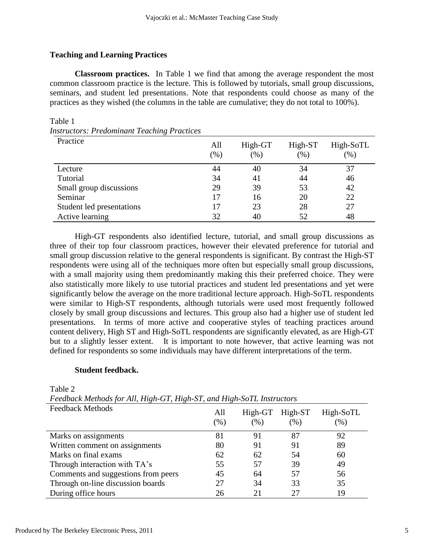## **Teaching and Learning Practices**

**Classroom practices.** In Table 1 we find that among the average respondent the most common classroom practice is the lecture. This is followed by tutorials, small group discussions, seminars, and student led presentations. Note that respondents could choose as many of the practices as they wished (the columns in the table are cumulative; they do not total to 100%).

| <i>nstructors: Preaominant Leacning Practices</i> |               |                |                   |                  |
|---------------------------------------------------|---------------|----------------|-------------------|------------------|
| Practice                                          | All<br>$(\%)$ | High-GT<br>(%) | High-ST<br>$(\%)$ | High-SoTL<br>(%) |
| Lecture                                           | 44            | 40             | 34                | 37               |
| Tutorial                                          | 34            | 41             | 44                | 46               |
| Small group discussions                           | 29            | 39             | 53                | 42               |
| Seminar                                           | 17            | 16             | 20                | 22               |
| Student led presentations                         | 17            | 23             | 28                | 27               |
| Active learning                                   | 32            | 40             | 52                | 48               |

Table 1<br>Instructors *Instructors: Predominant Teaching Practices*

High-GT respondents also identified lecture, tutorial, and small group discussions as three of their top four classroom practices, however their elevated preference for tutorial and small group discussion relative to the general respondents is significant. By contrast the High-ST respondents were using all of the techniques more often but especially small group discussions, with a small majority using them predominantly making this their preferred choice. They were also statistically more likely to use tutorial practices and student led presentations and yet were significantly below the average on the more traditional lecture approach. High-SoTL respondents were similar to High-ST respondents, although tutorials were used most frequently followed closely by small group discussions and lectures. This group also had a higher use of student led presentations. In terms of more active and cooperative styles of teaching practices around content delivery, High ST and High-SoTL respondents are significantly elevated, as are High-GT but to a slightly lesser extent. It is important to note however, that active learning was not defined for respondents so some individuals may have different interpretations of the term.

### **Student feedback.**

Table 2

*Feedback Methods for All, High-GT, High-ST, and High-SoTL Instructors*

| <b>Feedback Methods</b>             | All<br>$(\%)$ | $High-GT$<br>$(\% )$ | $High-ST$<br>$(\%)$ | High-SoTL<br>(96) |
|-------------------------------------|---------------|----------------------|---------------------|-------------------|
| Marks on assignments                | 81            | 91                   | 87                  | 92                |
| Written comment on assignments      | 80            | 91                   | 91                  | 89                |
| Marks on final exams                | 62            | 62                   | 54                  | 60                |
| Through interaction with TA's       | 55            | 57                   | 39                  | 49                |
| Comments and suggestions from peers | 45            | 64                   | 57                  | 56                |
| Through on-line discussion boards   | 27            | 34                   | 33                  | 35                |
| During office hours                 | 26            | 21                   | 27                  | 19                |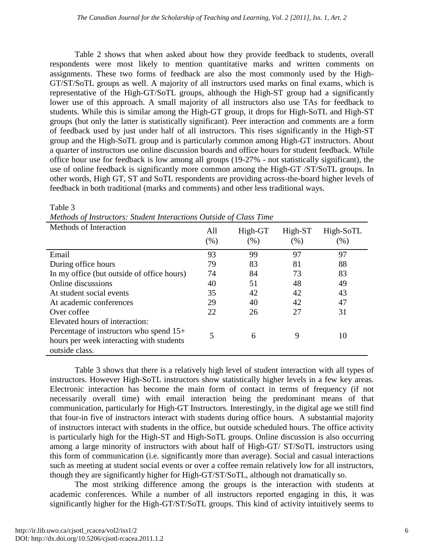Table 2 shows that when asked about how they provide feedback to students, overall respondents were most likely to mention quantitative marks and written comments on assignments. These two forms of feedback are also the most commonly used by the High-GT/ST/SoTL groups as well. A majority of all instructors used marks on final exams, which is representative of the High-GT/SoTL groups, although the High-ST group had a significantly lower use of this approach. A small majority of all instructors also use TAs for feedback to students. While this is similar among the High-GT group, it drops for High-SoTL and High-ST groups (but only the latter is statistically significant). Peer interaction and comments are a form of feedback used by just under half of all instructors. This rises significantly in the High-ST group and the High-SoTL group and is particularly common among High-GT instructors. About a quarter of instructors use online discussion boards and office hours for student feedback. While office hour use for feedback is low among all groups (19-27% - not statistically significant), the use of online feedback is significantly more common among the High-GT /ST/SoTL groups. In other words, High GT, ST and SoTL respondents are providing across-the-board higher levels of feedback in both traditional (marks and comments) and other less traditional ways.

| Methods of Interaction                                                                                  | All<br>(% ) | High-GT<br>(% ) | High-ST<br>(% ) | High-SoTL<br>$(\%)$ |
|---------------------------------------------------------------------------------------------------------|-------------|-----------------|-----------------|---------------------|
| Email                                                                                                   | 93          | 99              | 97              | 97                  |
| During office hours                                                                                     | 79          | 83              | 81              | 88                  |
| In my office (but outside of office hours)                                                              | 74          | 84              | 73              | 83                  |
| Online discussions                                                                                      | 40          | 51              | 48              | 49                  |
| At student social events                                                                                | 35          | 42              | 42              | 43                  |
| At academic conferences                                                                                 | 29          | 40              | 42              | 47                  |
| Over coffee                                                                                             | 22          | 26              | 27              | 31                  |
| Elevated hours of interaction:                                                                          |             |                 |                 |                     |
| Percentage of instructors who spend $15+$<br>hours per week interacting with students<br>outside class. | 5           | 6               | 9               | 10                  |

Table 3

*Methods of Instructors: Student Interactions Outside of Class Time*

Table 3 shows that there is a relatively high level of student interaction with all types of instructors. However High-SoTL instructors show statistically higher levels in a few key areas. Electronic interaction has become the main form of contact in terms of frequency (if not necessarily overall time) with email interaction being the predominant means of that communication, particularly for High-GT Instructors. Interestingly, in the digital age we still find that four-in five of instructors interact with students during office hours. A substantial majority of instructors interact with students in the office, but outside scheduled hours. The office activity is particularly high for the High-ST and High-SoTL groups. Online discussion is also occurring among a large minority of instructors with about half of High-GT/ ST/SoTL instructors using this form of communication (i.e. significantly more than average). Social and casual interactions such as meeting at student social events or over a coffee remain relatively low for all instructors, though they are significantly higher for High-GT/ST/SoTL, although not dramatically so.

The most striking difference among the groups is the interaction with students at academic conferences. While a number of all instructors reported engaging in this, it was significantly higher for the High-GT/ST/SoTL groups. This kind of activity intuitively seems to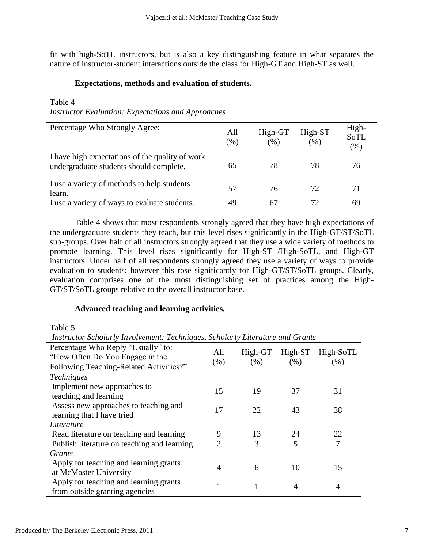fit with high-SoTL instructors, but is also a key distinguishing feature in what separates the nature of instructor-student interactions outside the class for High-GT and High-ST as well.

## **Expectations, methods and evaluation of students.**

## Table 4

*Instructor Evaluation: Expectations and Approaches*

| Percentage Who Strongly Agree:                                                             | All<br>$(\%)$ | High-GT<br>(96) | High-ST<br>(%) | High-<br><b>SoTL</b><br>$(\%)$ |
|--------------------------------------------------------------------------------------------|---------------|-----------------|----------------|--------------------------------|
| I have high expectations of the quality of work<br>undergraduate students should complete. | 65            | 78              | 78             | 76                             |
| I use a variety of methods to help students<br>learn.                                      | 57            | 76              | 72             | 71                             |
| I use a variety of ways to evaluate students.                                              | 49            | 67              | 72             | 69                             |

Table 4 shows that most respondents strongly agreed that they have high expectations of the undergraduate students they teach, but this level rises significantly in the High-GT/ST/SoTL sub-groups. Over half of all instructors strongly agreed that they use a wide variety of methods to promote learning. This level rises significantly for High-ST /High-SoTL, and High-GT instructors. Under half of all respondents strongly agreed they use a variety of ways to provide evaluation to students; however this rose significantly for High-GT/ST/SoTL groups. Clearly, evaluation comprises one of the most distinguishing set of practices among the High-GT/ST/SoTL groups relative to the overall instructor base.

## **Advanced teaching and learning activities***.*

Table 5

*Instructor Scholarly Involvement: Techniques, Scholarly Literature and Grants*

| Percentage Who Reply "Usually" to:<br>"How Often Do You Engage in the<br>Following Teaching-Related Activities?" | All<br>(% )                 | $High-GT$<br>(% ) | $High-ST$<br>(% ) | High-SoTL<br>(% ) |
|------------------------------------------------------------------------------------------------------------------|-----------------------------|-------------------|-------------------|-------------------|
| <i>Techniques</i>                                                                                                |                             |                   |                   |                   |
| Implement new approaches to                                                                                      | 15                          | 19                | 37                | 31                |
| teaching and learning                                                                                            |                             |                   |                   |                   |
| Assess new approaches to teaching and                                                                            | 17                          | 22                | 43                | 38                |
| learning that I have tried                                                                                       |                             |                   |                   |                   |
| Literature                                                                                                       |                             |                   |                   |                   |
| Read literature on teaching and learning                                                                         | 9                           | 13                | 24                | 22                |
| Publish literature on teaching and learning                                                                      | $\mathcal{D}_{\mathcal{L}}$ | 3                 | 5                 | 7                 |
| Grants                                                                                                           |                             |                   |                   |                   |
| Apply for teaching and learning grants                                                                           | 4                           | 6                 | 10                | 15                |
| at McMaster University                                                                                           |                             |                   |                   |                   |
| Apply for teaching and learning grants                                                                           |                             |                   |                   | 4                 |
| from outside granting agencies                                                                                   |                             |                   |                   |                   |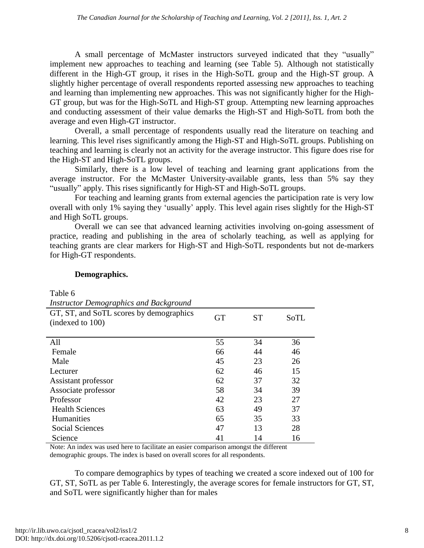A small percentage of McMaster instructors surveyed indicated that they "usually" implement new approaches to teaching and learning (see Table 5). Although not statistically different in the High-GT group, it rises in the High-SoTL group and the High-ST group. A slightly higher percentage of overall respondents reported assessing new approaches to teaching and learning than implementing new approaches. This was not significantly higher for the High-GT group, but was for the High-SoTL and High-ST group. Attempting new learning approaches and conducting assessment of their value demarks the High-ST and High-SoTL from both the average and even High-GT instructor.

Overall, a small percentage of respondents usually read the literature on teaching and learning. This level rises significantly among the High-ST and High-SoTL groups. Publishing on teaching and learning is clearly not an activity for the average instructor. This figure does rise for the High-ST and High-SoTL groups.

Similarly, there is a low level of teaching and learning grant applications from the average instructor. For the McMaster University-available grants, less than 5% say they "usually" apply. This rises significantly for High-ST and High-SoTL groups.

For teaching and learning grants from external agencies the participation rate is very low overall with only 1% saying they 'usually' apply. This level again rises slightly for the High-ST and High SoTL groups.

Overall we can see that advanced learning activities involving on-going assessment of practice, reading and publishing in the area of scholarly teaching, as well as applying for teaching grants are clear markers for High-ST and High-SoTL respondents but not de-markers for High-GT respondents.

## **Demographics.**

Table 6

| <b>Instructor Demographics and Background</b> |  |
|-----------------------------------------------|--|

| <i>Histractor Deniozraphics and Dackground</i>              |           |           |      |
|-------------------------------------------------------------|-----------|-----------|------|
| GT, ST, and SoTL scores by demographics<br>(indexed to 100) | <b>GT</b> | <b>ST</b> | SoTL |
| All                                                         | 55        | 34        | 36   |
| Female                                                      | 66        | 44        | 46   |
| Male                                                        | 45        | 23        | 26   |
| Lecturer                                                    | 62        | 46        | 15   |
| Assistant professor                                         | 62        | 37        | 32   |
| Associate professor                                         | 58        | 34        | 39   |
| Professor                                                   | 42        | 23        | 27   |
| <b>Health Sciences</b>                                      | 63        | 49        | 37   |
| <b>Humanities</b>                                           | 65        | 35        | 33   |
| Social Sciences                                             | 47        | 13        | 28   |
| Science                                                     | 41        | 14        | 16   |

Note: An index was used here to facilitate an easier comparison amongst the different demographic groups. The index is based on overall scores for all respondents.

To compare demographics by types of teaching we created a score indexed out of 100 for GT, ST, SoTL as per Table 6. Interestingly, the average scores for female instructors for GT, ST, and SoTL were significantly higher than for males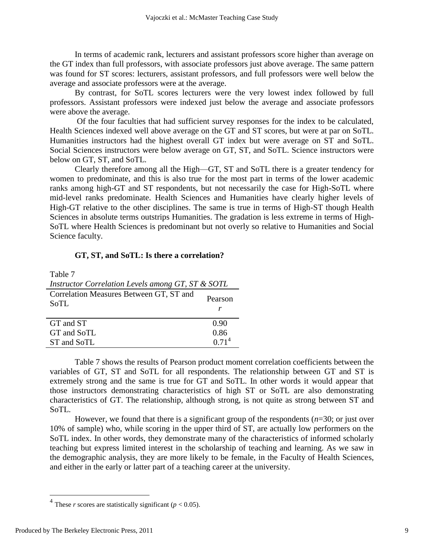In terms of academic rank, lecturers and assistant professors score higher than average on the GT index than full professors, with associate professors just above average. The same pattern was found for ST scores: lecturers, assistant professors, and full professors were well below the average and associate professors were at the average.

By contrast, for SoTL scores lecturers were the very lowest index followed by full professors. Assistant professors were indexed just below the average and associate professors were above the average.

Of the four faculties that had sufficient survey responses for the index to be calculated, Health Sciences indexed well above average on the GT and ST scores, but were at par on SoTL. Humanities instructors had the highest overall GT index but were average on ST and SoTL. Social Sciences instructors were below average on GT, ST, and SoTL. Science instructors were below on GT, ST, and SoTL.

Clearly therefore among all the High—GT, ST and SoTL there is a greater tendency for women to predominate, and this is also true for the most part in terms of the lower academic ranks among high-GT and ST respondents, but not necessarily the case for High-SoTL where mid-level ranks predominate. Health Sciences and Humanities have clearly higher levels of High-GT relative to the other disciplines. The same is true in terms of High-ST though Health Sciences in absolute terms outstrips Humanities. The gradation is less extreme in terms of High-SoTL where Health Sciences is predominant but not overly so relative to Humanities and Social Science faculty.

## **GT, ST, and SoTL: Is there a correlation?**

| Table 7                                           |                   |
|---------------------------------------------------|-------------------|
| Instructor Correlation Levels among GT, ST & SOTL |                   |
| Correlation Measures Between GT, ST and<br>SoTL   | Pearson<br>r      |
| GT and ST                                         | 0.90              |
| GT and SoTL                                       | 0.86              |
| ST and SoTL                                       | 0.71 <sup>4</sup> |

Table 7 shows the results of Pearson product moment correlation coefficients between the variables of GT, ST and SoTL for all respondents. The relationship between GT and ST is extremely strong and the same is true for GT and SoTL. In other words it would appear that those instructors demonstrating characteristics of high ST or SoTL are also demonstrating characteristics of GT. The relationship, although strong, is not quite as strong between ST and SoTL.

However, we found that there is a significant group of the respondents (*n*=30; or just over 10% of sample) who, while scoring in the upper third of ST, are actually low performers on the SoTL index. In other words, they demonstrate many of the characteristics of informed scholarly teaching but express limited interest in the scholarship of teaching and learning. As we saw in the demographic analysis, they are more likely to be female, in the Faculty of Health Sciences, and either in the early or latter part of a teaching career at the university.

<sup>&</sup>lt;sup>4</sup> These *r* scores are statistically significant ( $p < 0.05$ ).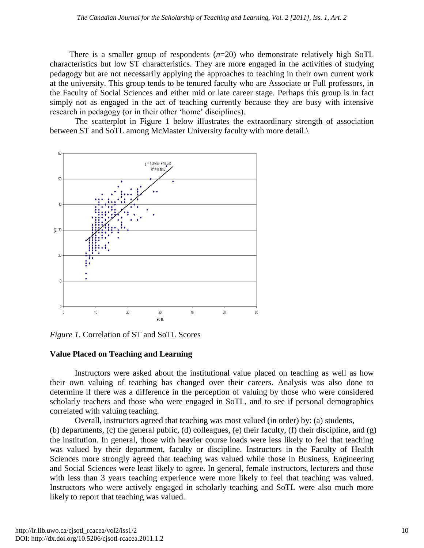There is a smaller group of respondents  $(n=20)$  who demonstrate relatively high SoTL characteristics but low ST characteristics. They are more engaged in the activities of studying pedagogy but are not necessarily applying the approaches to teaching in their own current work at the university. This group tends to be tenured faculty who are Associate or Full professors, in the Faculty of Social Sciences and either mid or late career stage. Perhaps this group is in fact simply not as engaged in the act of teaching currently because they are busy with intensive research in pedagogy (or in their other 'home' disciplines).

The scatterplot in Figure 1 below illustrates the extraordinary strength of association between ST and SoTL among McMaster University faculty with more detail.\



*Figure 1*. Correlation of ST and SoTL Scores

## **Value Placed on Teaching and Learning**

Instructors were asked about the institutional value placed on teaching as well as how their own valuing of teaching has changed over their careers. Analysis was also done to determine if there was a difference in the perception of valuing by those who were considered scholarly teachers and those who were engaged in SoTL, and to see if personal demographics correlated with valuing teaching.

Overall, instructors agreed that teaching was most valued (in order) by: (a) students, (b) departments, (c) the general public, (d) colleagues, (e) their faculty, (f) their discipline, and (g) the institution. In general, those with heavier course loads were less likely to feel that teaching was valued by their department, faculty or discipline. Instructors in the Faculty of Health Sciences more strongly agreed that teaching was valued while those in Business, Engineering and Social Sciences were least likely to agree. In general, female instructors, lecturers and those with less than 3 years teaching experience were more likely to feel that teaching was valued. Instructors who were actively engaged in scholarly teaching and SoTL were also much more likely to report that teaching was valued.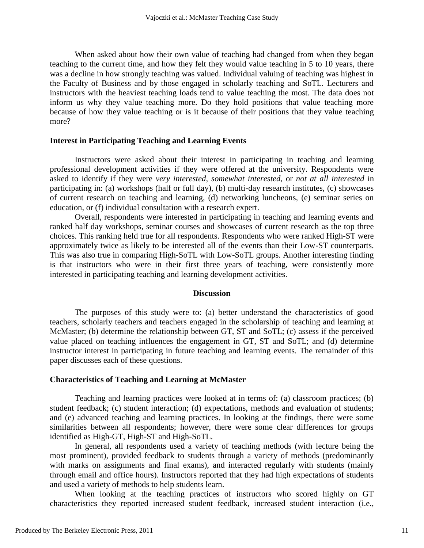When asked about how their own value of teaching had changed from when they began teaching to the current time, and how they felt they would value teaching in 5 to 10 years, there was a decline in how strongly teaching was valued. Individual valuing of teaching was highest in the Faculty of Business and by those engaged in scholarly teaching and SoTL. Lecturers and instructors with the heaviest teaching loads tend to value teaching the most. The data does not inform us why they value teaching more. Do they hold positions that value teaching more because of how they value teaching or is it because of their positions that they value teaching more?

#### **Interest in Participating Teaching and Learning Events**

Instructors were asked about their interest in participating in teaching and learning professional development activities if they were offered at the university. Respondents were asked to identify if they were *very interested*, *somewhat interested*, or *not at all interested* in participating in: (a) workshops (half or full day), (b) multi-day research institutes, (c) showcases of current research on teaching and learning, (d) networking luncheons, (e) seminar series on education, or (f) individual consultation with a research expert.

Overall, respondents were interested in participating in teaching and learning events and ranked half day workshops, seminar courses and showcases of current research as the top three choices. This ranking held true for all respondents*.* Respondents who were ranked High-ST were approximately twice as likely to be interested all of the events than their Low-ST counterparts. This was also true in comparing High-SoTL with Low-SoTL groups. Another interesting finding is that instructors who were in their first three years of teaching, were consistently more interested in participating teaching and learning development activities.

### **Discussion**

The purposes of this study were to: (a) better understand the characteristics of good teachers, scholarly teachers and teachers engaged in the scholarship of teaching and learning at McMaster; (b) determine the relationship between GT, ST and SoTL; (c) assess if the perceived value placed on teaching influences the engagement in GT, ST and SoTL; and (d) determine instructor interest in participating in future teaching and learning events. The remainder of this paper discusses each of these questions.

#### **Characteristics of Teaching and Learning at McMaster**

Teaching and learning practices were looked at in terms of: (a) classroom practices; (b) student feedback; (c) student interaction; (d) expectations, methods and evaluation of students; and (e) advanced teaching and learning practices. In looking at the findings, there were some similarities between all respondents; however, there were some clear differences for groups identified as High-GT, High-ST and High-SoTL.

In general, all respondents used a variety of teaching methods (with lecture being the most prominent), provided feedback to students through a variety of methods (predominantly with marks on assignments and final exams), and interacted regularly with students (mainly through email and office hours). Instructors reported that they had high expectations of students and used a variety of methods to help students learn.

When looking at the teaching practices of instructors who scored highly on GT characteristics they reported increased student feedback, increased student interaction (i.e.,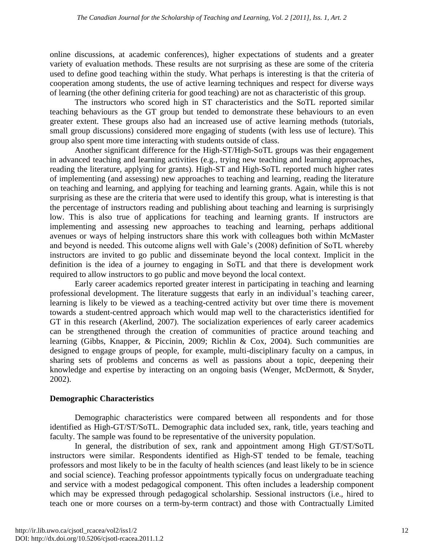online discussions, at academic conferences), higher expectations of students and a greater variety of evaluation methods. These results are not surprising as these are some of the criteria used to define good teaching within the study. What perhaps is interesting is that the criteria of cooperation among students, the use of active learning techniques and respect for diverse ways of learning (the other defining criteria for good teaching) are not as characteristic of this group.

The instructors who scored high in ST characteristics and the SoTL reported similar teaching behaviours as the GT group but tended to demonstrate these behaviours to an even greater extent. These groups also had an increased use of active learning methods (tutorials, small group discussions) considered more engaging of students (with less use of lecture). This group also spent more time interacting with students outside of class.

Another significant difference for the High-ST/High-SoTL groups was their engagement in advanced teaching and learning activities (e.g., trying new teaching and learning approaches, reading the literature, applying for grants). High-ST and High-SoTL reported much higher rates of implementing (and assessing) new approaches to teaching and learning, reading the literature on teaching and learning, and applying for teaching and learning grants. Again, while this is not surprising as these are the criteria that were used to identify this group, what is interesting is that the percentage of instructors reading and publishing about teaching and learning is surprisingly low. This is also true of applications for teaching and learning grants. If instructors are implementing and assessing new approaches to teaching and learning, perhaps additional avenues or ways of helping instructors share this work with colleagues both within McMaster and beyond is needed. This outcome aligns well with Gale's (2008) definition of SoTL whereby instructors are invited to go public and disseminate beyond the local context. Implicit in the definition is the idea of a journey to engaging in SoTL and that there is development work required to allow instructors to go public and move beyond the local context.

Early career academics reported greater interest in participating in teaching and learning professional development. The literature suggests that early in an individual's teaching career, learning is likely to be viewed as a teaching-centred activity but over time there is movement towards a student-centred approach which would map well to the characteristics identified for GT in this research (Akerlind, 2007). The socialization experiences of early career academics can be strengthened through the creation of communities of practice around teaching and learning (Gibbs, Knapper, & Piccinin, 2009; Richlin & Cox, 2004). Such communities are designed to engage groups of people, for example, multi-disciplinary faculty on a campus, in sharing sets of problems and concerns as well as passions about a topic, deepening their knowledge and expertise by interacting on an ongoing basis (Wenger, McDermott, & Snyder, 2002).

## **Demographic Characteristics**

Demographic characteristics were compared between all respondents and for those identified as High-GT/ST/SoTL. Demographic data included sex, rank, title, years teaching and faculty. The sample was found to be representative of the university population.

In general, the distribution of sex, rank and appointment among High GT/ST/SoTL instructors were similar. Respondents identified as High-ST tended to be female, teaching professors and most likely to be in the faculty of health sciences (and least likely to be in science and social science). Teaching professor appointments typically focus on undergraduate teaching and service with a modest pedagogical component. This often includes a leadership component which may be expressed through pedagogical scholarship. Sessional instructors (i.e., hired to teach one or more courses on a term-by-term contract) and those with Contractually Limited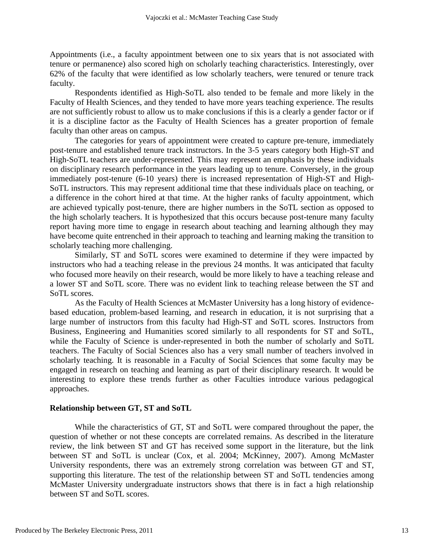Appointments (i.e., a faculty appointment between one to six years that is not associated with tenure or permanence) also scored high on scholarly teaching characteristics. Interestingly, over 62% of the faculty that were identified as low scholarly teachers, were tenured or tenure track faculty.

Respondents identified as High-SoTL also tended to be female and more likely in the Faculty of Health Sciences, and they tended to have more years teaching experience. The results are not sufficiently robust to allow us to make conclusions if this is a clearly a gender factor or if it is a discipline factor as the Faculty of Health Sciences has a greater proportion of female faculty than other areas on campus.

The categories for years of appointment were created to capture pre-tenure, immediately post-tenure and established tenure track instructors. In the 3-5 years category both High-ST and High-SoTL teachers are under-represented. This may represent an emphasis by these individuals on disciplinary research performance in the years leading up to tenure. Conversely, in the group immediately post-tenure (6-10 years) there is increased representation of High-ST and High-SoTL instructors. This may represent additional time that these individuals place on teaching, or a difference in the cohort hired at that time. At the higher ranks of faculty appointment, which are achieved typically post-tenure, there are higher numbers in the SoTL section as opposed to the high scholarly teachers. It is hypothesized that this occurs because post-tenure many faculty report having more time to engage in research about teaching and learning although they may have become quite entrenched in their approach to teaching and learning making the transition to scholarly teaching more challenging.

Similarly, ST and SoTL scores were examined to determine if they were impacted by instructors who had a teaching release in the previous 24 months. It was anticipated that faculty who focused more heavily on their research, would be more likely to have a teaching release and a lower ST and SoTL score. There was no evident link to teaching release between the ST and SoTL scores.

As the Faculty of Health Sciences at McMaster University has a long history of evidencebased education, problem-based learning, and research in education, it is not surprising that a large number of instructors from this faculty had High-ST and SoTL scores. Instructors from Business, Engineering and Humanities scored similarly to all respondents for ST and SoTL, while the Faculty of Science is under-represented in both the number of scholarly and SoTL teachers. The Faculty of Social Sciences also has a very small number of teachers involved in scholarly teaching. It is reasonable in a Faculty of Social Sciences that some faculty may be engaged in research on teaching and learning as part of their disciplinary research. It would be interesting to explore these trends further as other Faculties introduce various pedagogical approaches.

#### **Relationship between GT, ST and SoTL**

While the characteristics of GT, ST and SoTL were compared throughout the paper, the question of whether or not these concepts are correlated remains. As described in the literature review, the link between ST and GT has received some support in the literature, but the link between ST and SoTL is unclear (Cox, et al. 2004; McKinney, 2007). Among McMaster University respondents, there was an extremely strong correlation was between GT and ST, supporting this literature. The test of the relationship between ST and SoTL tendencies among McMaster University undergraduate instructors shows that there is in fact a high relationship between ST and SoTL scores.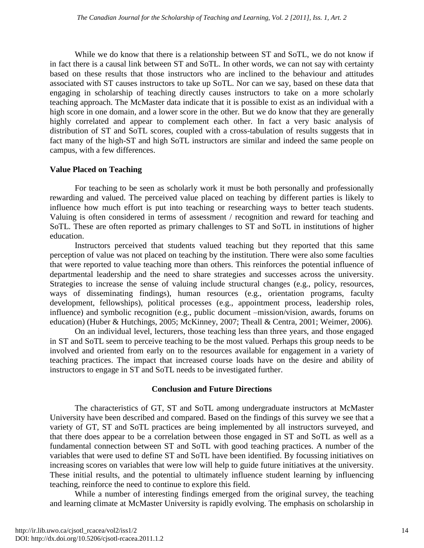While we do know that there is a relationship between ST and SoTL, we do not know if in fact there is a causal link between ST and SoTL. In other words, we can not say with certainty based on these results that those instructors who are inclined to the behaviour and attitudes associated with ST causes instructors to take up SoTL. Nor can we say, based on these data that engaging in scholarship of teaching directly causes instructors to take on a more scholarly teaching approach. The McMaster data indicate that it is possible to exist as an individual with a high score in one domain, and a lower score in the other. But we do know that they are generally highly correlated and appear to complement each other. In fact a very basic analysis of distribution of ST and SoTL scores, coupled with a cross-tabulation of results suggests that in fact many of the high-ST and high SoTL instructors are similar and indeed the same people on campus, with a few differences.

## **Value Placed on Teaching**

For teaching to be seen as scholarly work it must be both personally and professionally rewarding and valued. The perceived value placed on teaching by different parties is likely to influence how much effort is put into teaching or researching ways to better teach students. Valuing is often considered in terms of assessment / recognition and reward for teaching and SoTL. These are often reported as primary challenges to ST and SoTL in institutions of higher education.

Instructors perceived that students valued teaching but they reported that this same perception of value was not placed on teaching by the institution. There were also some faculties that were reported to value teaching more than others. This reinforces the potential influence of departmental leadership and the need to share strategies and successes across the university. Strategies to increase the sense of valuing include structural changes (e.g., policy, resources, ways of disseminating findings), human resources (e.g., orientation programs, faculty development, fellowships), political processes (e.g., appointment process, leadership roles, influence) and symbolic recognition (e.g., public document –mission/vision, awards, forums on education) (Huber & Hutchings, 2005; McKinney, 2007; Theall & Centra, 2001; Weimer, 2006).

On an individual level, lecturers, those teaching less than three years, and those engaged in ST and SoTL seem to perceive teaching to be the most valued. Perhaps this group needs to be involved and oriented from early on to the resources available for engagement in a variety of teaching practices. The impact that increased course loads have on the desire and ability of instructors to engage in ST and SoTL needs to be investigated further.

## **Conclusion and Future Directions**

The characteristics of GT, ST and SoTL among undergraduate instructors at McMaster University have been described and compared. Based on the findings of this survey we see that a variety of GT, ST and SoTL practices are being implemented by all instructors surveyed, and that there does appear to be a correlation between those engaged in ST and SoTL as well as a fundamental connection between ST and SoTL with good teaching practices. A number of the variables that were used to define ST and SoTL have been identified. By focussing initiatives on increasing scores on variables that were low will help to guide future initiatives at the university. These initial results, and the potential to ultimately influence student learning by influencing teaching, reinforce the need to continue to explore this field.

While a number of interesting findings emerged from the original survey, the teaching and learning climate at McMaster University is rapidly evolving. The emphasis on scholarship in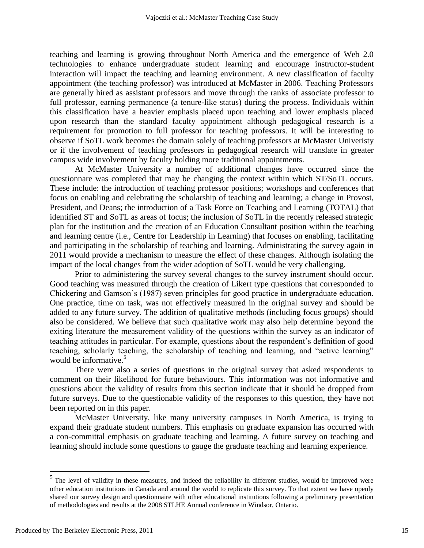teaching and learning is growing throughout North America and the emergence of Web 2.0 technologies to enhance undergraduate student learning and encourage instructor-student interaction will impact the teaching and learning environment. A new classification of faculty appointment (the teaching professor) was introduced at McMaster in 2006. Teaching Professors are generally hired as assistant professors and move through the ranks of associate professor to full professor, earning permanence (a tenure-like status) during the process. Individuals within this classification have a heavier emphasis placed upon teaching and lower emphasis placed upon research than the standard faculty appointment although pedagogical research is a requirement for promotion to full professor for teaching professors. It will be interesting to observe if SoTL work becomes the domain solely of teaching professors at McMaster Univeristy or if the involvement of teaching professors in pedagogical research will translate in greater campus wide involvement by faculty holding more traditional appointments.

At McMaster University a number of additional changes have occurred since the questionnare was completed that may be changing the context within which ST/SoTL occurs. These include: the introduction of teaching professor positions; workshops and conferences that focus on enabling and celebrating the scholarship of teaching and learning; a change in Provost, President, and Deans; the introduction of a Task Force on Teaching and Learning (TOTAL) that identified ST and SoTL as areas of focus; the inclusion of SoTL in the recently released strategic plan for the institution and the creation of an Education Consultant position within the teaching and learning centre (i.e., Centre for Leadership in Learning) that focuses on enabling, facilitating and participating in the scholarship of teaching and learning. Administrating the survey again in 2011 would provide a mechanism to measure the effect of these changes. Although isolating the impact of the local changes from the wider adoption of SoTL would be very challenging.

Prior to administering the survey several changes to the survey instrument should occur. Good teaching was measured through the creation of Likert type questions that corresponded to Chickering and Gamson's (1987) seven principles for good practice in undergraduate education. One practice, time on task, was not effectively measured in the original survey and should be added to any future survey. The addition of qualitative methods (including focus groups) should also be considered. We believe that such qualitative work may also help determine beyond the exiting literature the measurement validity of the questions within the survey as an indicator of teaching attitudes in particular. For example, questions about the respondent's definition of good teaching, scholarly teaching, the scholarship of teaching and learning, and "active learning" would be informative. $5$ 

There were also a series of questions in the original survey that asked respondents to comment on their likelihood for future behaviours. This information was not informative and questions about the validity of results from this section indicate that it should be dropped from future surveys. Due to the questionable validity of the responses to this question, they have not been reported on in this paper.

McMaster University, like many university campuses in North America, is trying to expand their graduate student numbers. This emphasis on graduate expansion has occurred with a con-committal emphasis on graduate teaching and learning. A future survey on teaching and learning should include some questions to gauge the graduate teaching and learning experience.

 $\overline{a}$ 

<sup>&</sup>lt;sup>5</sup> The level of validity in these measures, and indeed the reliability in different studies, would be improved were other education institutions in Canada and around the world to replicate this survey. To that extent we have openly shared our survey design and questionnaire with other educational institutions following a preliminary presentation of methodologies and results at the 2008 STLHE Annual conference in Windsor, Ontario.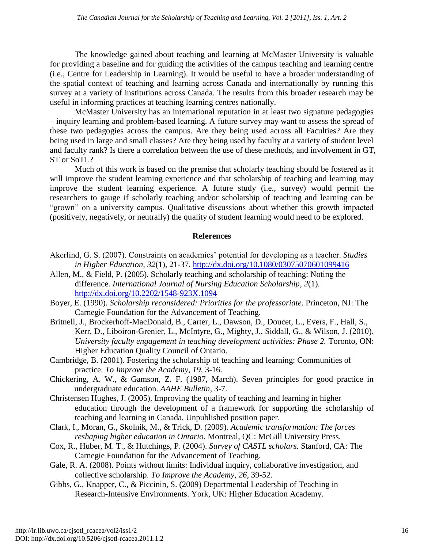The knowledge gained about teaching and learning at McMaster University is valuable for providing a baseline and for guiding the activities of the campus teaching and learning centre (i.e., Centre for Leadership in Learning). It would be useful to have a broader understanding of the spatial context of teaching and learning across Canada and internationally by running this survey at a variety of institutions across Canada. The results from this broader research may be useful in informing practices at teaching learning centres nationally.

McMaster University has an international reputation in at least two signature pedagogies – inquiry learning and problem-based learning. A future survey may want to assess the spread of these two pedagogies across the campus. Are they being used across all Faculties? Are they being used in large and small classes? Are they being used by faculty at a variety of student level and faculty rank? Is there a correlation between the use of these methods, and involvement in GT, ST or SoTL?

Much of this work is based on the premise that scholarly teaching should be fostered as it will improve the student learning experience and that scholarship of teaching and learning may improve the student learning experience. A future study (i.e., survey) would permit the researchers to gauge if scholarly teaching and/or scholarship of teaching and learning can be "grown" on a university campus. Qualitative discussions about whether this growth impacted (positively, negatively, or neutrally) the quality of student learning would need to be explored.

## **References**

- Akerlind, G. S. (2007). Constraints on academics' potential for developing as a teacher. *Studies in Higher Education, 32*(1), 21-37. <http://dx.doi.org/10.1080/03075070601099416>
- Allen, M., & Field, P. (2005). Scholarly teaching and scholarship of teaching: Noting the difference. *International Journal of Nursing Education Scholarship*, *2*(1). <http://dx.doi.org/10.2202/1548-923X.1094>
- Boyer, E. (1990). *Scholarship reconsidered: Priorities for the professoriate*. Princeton, NJ: The Carnegie Foundation for the Advancement of Teaching.
- Britnell, J., Brockerhoff-MacDonald, B., Carter, L., Dawson, D., Doucet, L., Evers, F., Hall, S., Kerr, D., Liboiron-Grenier, L., McIntyre, G., Mighty, J., Siddall, G., & Wilson, J. (2010). *University faculty engagement in teaching development activities: Phase 2. Toronto, ON:* Higher Education Quality Council of Ontario.
- Cambridge, B. (2001). Fostering the scholarship of teaching and learning: Communities of practice. *To Improve the Academy, 19*, 3-16.
- Chickering, A. W., & Gamson, Z. F. (1987, March). Seven principles for good practice in undergraduate education. *AAHE Bulletin*, 3-7.
- Christensen Hughes, J. (2005). Improving the quality of teaching and learning in higher education through the development of a framework for supporting the scholarship of teaching and learning in Canada. Unpublished position paper.
- Clark, I., Moran, G., Skolnik, M., & Trick, D. (2009). *Academic transformation: The forces reshaping higher education in Ontario.* Montreal, QC: McGill University Press.
- Cox, R., Huber, M. T., & Hutchings, P. (2004). *Survey of CASTL scholars.* Stanford, CA: The Carnegie Foundation for the Advancement of Teaching.
- Gale, R. A. (2008). Points without limits: Individual inquiry, collaborative investigation, and collective scholarship. *To Improve the Academy, 26*, 39-52.
- Gibbs, G., Knapper, C., & Piccinin, S. (2009) Departmental Leadership of Teaching in Research-Intensive Environments. York, UK: Higher Education Academy.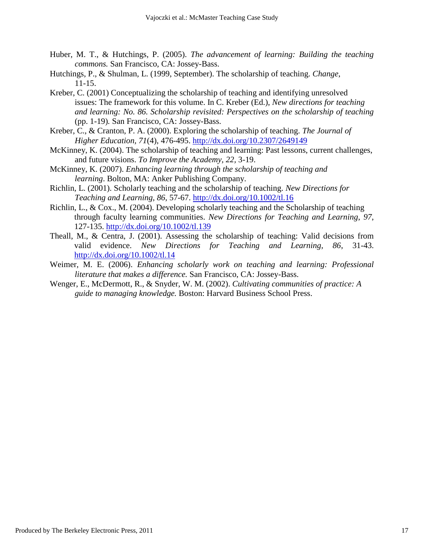- Huber, M. T., & Hutchings, P. (2005). *The advancement of learning: Building the teaching commons.* San Francisco, CA: Jossey-Bass.
- Hutchings, P., & Shulman, L. (1999, September). The scholarship of teaching. *Change*, 11-15.
- Kreber, C. (2001) Conceptualizing the scholarship of teaching and identifying unresolved issues: The framework for this volume. In C. Kreber (Ed.), *New directions for teaching and learning: No. 86. Scholarship revisited: Perspectives on the scholarship of teaching*  (pp. 1-19)*.* San Francisco, CA: Jossey-Bass.
- Kreber, C., & Cranton, P. A. (2000). Exploring the scholarship of teaching. *The Journal of Higher Education, 71*(4), 476-495.<http://dx.doi.org/10.2307/2649149>
- McKinney, K. (2004). The scholarship of teaching and learning: Past lessons, current challenges, and future visions. *To Improve the Academy, 22,* 3-19.
- McKinney, K. (2007). *Enhancing learning through the scholarship of teaching and learning*. Bolton, MA: Anker Publishing Company.
- Richlin, L. (2001). Scholarly teaching and the scholarship of teaching. *New Directions for Teaching and Learning, 86*, 57-67. <http://dx.doi.org/10.1002/tl.16>
- Richlin, L., & Cox., M. (2004). Developing scholarly teaching and the Scholarship of teaching through faculty learning communities. *New Directions for Teaching and Learning*, *97*, 127-135. <http://dx.doi.org/10.1002/tl.139>
- Theall, M., & Centra, J. (2001). Assessing the scholarship of teaching: Valid decisions from valid evidence. *New Directions for Teaching and Learning, 86*, 31-43. <http://dx.doi.org/10.1002/tl.14>
- Weimer, M. E. (2006). *Enhancing scholarly work on teaching and learning: Professional literature that makes a difference.* San Francisco, CA: Jossey-Bass.
- Wenger, E., McDermott, R., & Snyder, W. M. (2002). *Cultivating communities of practice: A guide to managing knowledge.* Boston: Harvard Business School Press.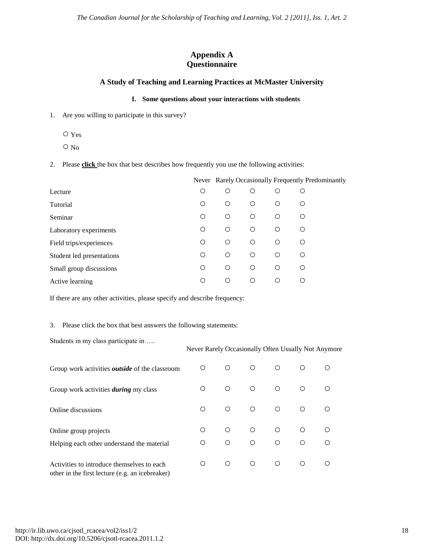## **Appendix A Questionnaire**

### **A Study of Teaching and Learning Practices at McMaster University**

#### **I. Some questions about your interactions with students**

- 1. Are you willing to participate in this survey?
	- Yes
	- No

2. Please **click** the box that best describes how frequently you use the following activities:

|                           |            |            |            |            | Never Rarely Occasionally Frequently Predominantly |
|---------------------------|------------|------------|------------|------------|----------------------------------------------------|
| Lecture                   | O          | ∩          | O          | O          | О                                                  |
| Tutorial                  | Ο          | $\bigcirc$ | $\circ$    | O          | ◯                                                  |
| Seminar                   | Ο          | $\bigcirc$ | $\circ$    | $\circ$    | $\bigcirc$                                         |
| Laboratory experiments    | Ο          | $\bigcirc$ | $\circ$    | O          | $\bigcirc$                                         |
| Field trips/experiences   | Ο          | $\bigcirc$ | $\circ$    | $\bigcirc$ | ◯                                                  |
| Student led presentations | $\bigcirc$ | $\bigcirc$ | $\bigcirc$ | $\bigcirc$ | O                                                  |
| Small group discussions   | O          | $\bigcirc$ | $\bigcirc$ | ∩          | ∩                                                  |
| Active learning           | ∩          | ∩          | ∩          | ∩          | ∩                                                  |

If there are any other activities, please specify and describe frequency:

#### 3. Please click the box that best answers the following statements:

Students in my class participate in ….

#### Never Rarely Occasionally Often Usually Not Anymore

| Group work activities <i>outside</i> of the classroom                                         | O               | $\circ$              | $\circ$                  | $\circ$                  | ∩                     |  |
|-----------------------------------------------------------------------------------------------|-----------------|----------------------|--------------------------|--------------------------|-----------------------|--|
| Group work activities <i>during</i> my class                                                  | ∩               | $\bigcirc$           | $\bigcirc$               | $\circ$                  | $\bigcirc$            |  |
| Online discussions                                                                            | ∩               | $\circ$              | $\circ$                  | $\circ$                  | $\circ$               |  |
| Online group projects<br>Helping each other understand the material                           | $\bigcirc$<br>∩ | $\bigcap$<br>$\circ$ | $\bigcirc$<br>$\bigcirc$ | $\bigcirc$<br>$\bigcirc$ | $\bigcirc$<br>$\circ$ |  |
| Activities to introduce themselves to each<br>other in the first lecture (e.g. an icebreaker) | ∩               | $\circ$              | $\bigcirc$               | $\circ$                  | $\bigcirc$            |  |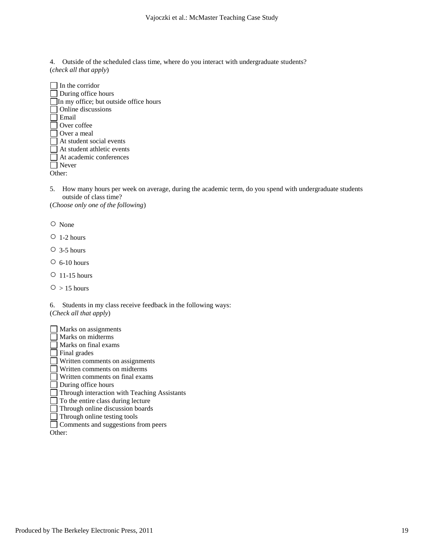4. Outside of the scheduled class time, where do you interact with undergraduate students? (*check all that apply*)

| In the corridor                        |
|----------------------------------------|
| During office hours                    |
| In my office; but outside office hours |
| Online discussions                     |
| Email                                  |
| Over coffee                            |
| Over a meal                            |
| At student social events               |
| At student athletic events             |
| At academic conferences                |
| Never                                  |
|                                        |

5. How many hours per week on average, during the academic term, do you spend with undergraduate students outside of class time?

(*Choose only one of the following*)

○ None

 $O$  1-2 hours

 $\circ$  3-5 hours

 $O$  6-10 hours

○ 11-15 hours

 $O > 15$  hours

6. Students in my class receive feedback in the following ways: (*Check all that apply*)

Marks on assignments Marks on midterms Marks on final exams Final grades Written comments on assignments Written comments on midterms Written comments on final exams During office hours Through interaction with Teaching Assistants To the entire class during lecture Through online discussion boards Through online testing tools Comments and suggestions from peers

Other: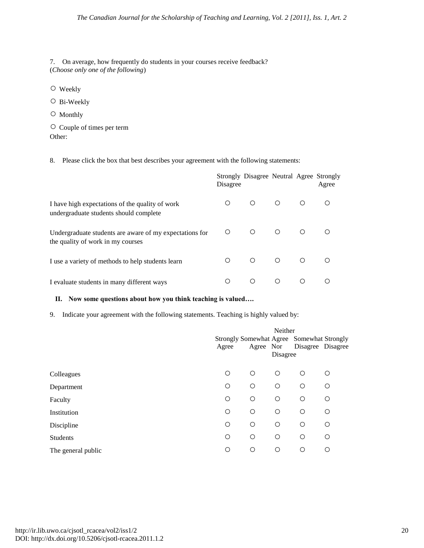7. On average, how frequently do students in your courses receive feedback? (*Choose only one of the following*)

○ Weekly

○ Bi-Weekly

○ Monthly

○ Couple of times per term Other:

8. Please click the box that best describes your agreement with the following statements:

|                                                                                              | Disagree   | Strongly Disagree Neutral Agree Strongly |            |            | Agree |
|----------------------------------------------------------------------------------------------|------------|------------------------------------------|------------|------------|-------|
| I have high expectations of the quality of work<br>undergraduate students should complete    | O.         | $\bigcirc$                               | $\circ$    | $\bigcirc$ | ◯     |
| Undergraduate students are aware of my expectations for<br>the quality of work in my courses | $\circ$    | $\bigcap$                                | $\bigcirc$ | $\bigcirc$ |       |
| I use a variety of methods to help students learn                                            | $\bigcirc$ | $\bigcirc$                               | $\circ$    | $\circ$    |       |
| I evaluate students in many different ways                                                   | ∩          | ∩                                        | ∩          | ∩          |       |

#### **II. Now some questions about how you think teaching is valued….**

9. Indicate your agreement with the following statements. Teaching is highly valued by:

|                    | Neither                                   |            |            |            |                   |
|--------------------|-------------------------------------------|------------|------------|------------|-------------------|
|                    | Strongly Somewhat Agree Somewhat Strongly |            |            |            |                   |
|                    | Agree                                     |            | Agree Nor  |            | Disagree Disagree |
|                    |                                           |            | Disagree   |            |                   |
| Colleagues         | $\circ$                                   | $\circ$    | $\bigcirc$ | $\bigcirc$ | $\bigcirc$        |
| Department         | $\circ$                                   | $\circ$    | $\circ$    | $\circ$    | $\circ$           |
| Faculty            | $\circ$                                   | $\circ$    | $\circ$    | $\circ$    | O                 |
| Institution        | $\circ$                                   | $\circ$    | $\circ$    | $\bigcirc$ | O                 |
| Discipline         | $\circ$                                   | $\bigcirc$ | $\bigcirc$ | $\bigcirc$ | O                 |
| Students           | $\circ$                                   | $\circ$    | $\circ$    | $\circ$    | O                 |
| The general public | O                                         | $\circ$    | $\circ$    | $\circ$    | Ο                 |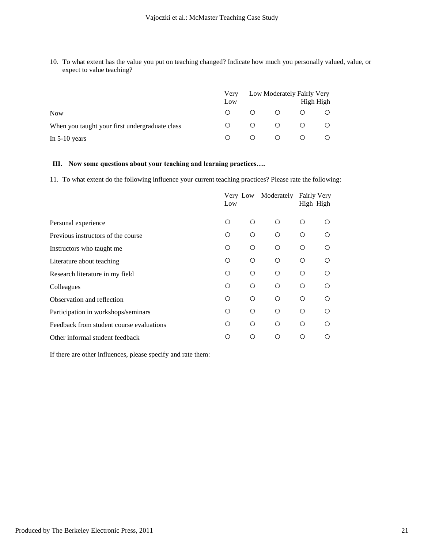10. To what extent has the value you put on teaching changed? Indicate how much you personally valued, value, or expect to value teaching?

|                                                | Very<br>Low | Low Moderately Fairly Very<br>High High |            |         |  |
|------------------------------------------------|-------------|-----------------------------------------|------------|---------|--|
| <b>Now</b>                                     | $\bigcirc$  | $\Omega$ $\Omega$                       |            |         |  |
| When you taught your first undergraduate class |             | $\overline{O}$                          | $\bigcirc$ | $\circ$ |  |
| In $5-10$ years                                |             | $\bigcap$                               |            |         |  |

#### **III. Now some questions about your teaching and learning practices….**

11. To what extent do the following influence your current teaching practices? Please rate the following:

| Low |            |            |            |                                 |
|-----|------------|------------|------------|---------------------------------|
| Ω   | ∩          | O          | ∩          | ( )                             |
| O   | Ω          | O          | Ω          | ∩                               |
| Ω   | $\bigcirc$ | $\bigcirc$ | $\bigcirc$ | ∩                               |
| Ω   | ∩          | O          | Ω          | ∩                               |
| Ω   | ∩          | O          | Ω          | ∩                               |
| O   | O          | Ο          | Ο          | ∩                               |
| Ω   | $\bigcirc$ | O          | ∩          | ∩                               |
| Ω   | Ω          | O          | Ω          | ∩                               |
| Ω   | O          | O          | Ω          | ∩                               |
| ◯   | Ω          | Ω          | ∩          | ∩                               |
|     |            | Very Low   | Moderately | <b>Fairly Very</b><br>High High |

If there are other influences, please specify and rate them: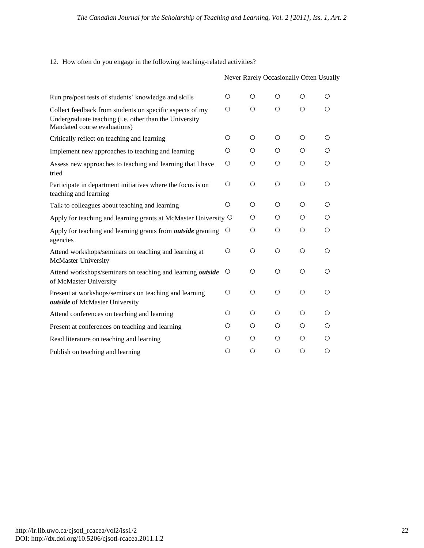12. How often do you engage in the following teaching-related activities?

|                                                                                                                                                    |            | Never Rarely Occasionally Often Usually |            |            |            |
|----------------------------------------------------------------------------------------------------------------------------------------------------|------------|-----------------------------------------|------------|------------|------------|
| Run pre/post tests of students' knowledge and skills                                                                                               | $\bigcirc$ | $\bigcirc$                              | $\bigcirc$ | $\bigcirc$ | $\bigcirc$ |
| Collect feedback from students on specific aspects of my<br>Undergraduate teaching (i.e. other than the University<br>Mandated course evaluations) | $\bigcirc$ | $\bigcirc$                              | $\bigcirc$ | $\bigcirc$ | $\circ$    |
| Critically reflect on teaching and learning                                                                                                        | O          | $\bigcirc$                              | $\bigcirc$ | $\bigcirc$ | Ω          |
| Implement new approaches to teaching and learning                                                                                                  | $\bigcirc$ | O                                       | $\bigcirc$ | Ω          | O          |
| Assess new approaches to teaching and learning that I have<br>tried                                                                                | $\bigcirc$ | $\bigcirc$                              | $\bigcirc$ | $\circ$    | $\bigcirc$ |
| Participate in department initiatives where the focus is on<br>teaching and learning                                                               | $\bigcirc$ | $\bigcirc$                              | $\bigcirc$ | Ο          | Ω          |
| Talk to colleagues about teaching and learning                                                                                                     | $\bigcirc$ | $\bigcirc$                              | $\bigcirc$ | Ω          | Ω          |
| Apply for teaching and learning grants at McMaster University $\circ$                                                                              |            | $\bigcirc$                              | $\bigcirc$ | Ω          | Ω          |
| Apply for teaching and learning grants from <i>outside</i> granting<br>agencies                                                                    | $\circ$    | $\circ$                                 | $\bigcirc$ | Ο          | Ο          |
| Attend workshops/seminars on teaching and learning at<br><b>McMaster University</b>                                                                | $\circ$    | $\bigcirc$                              | $\bigcirc$ | $\bigcirc$ | $\bigcirc$ |
| Attend workshops/seminars on teaching and learning outside<br>of McMaster University                                                               | O          | $\bigcirc$                              | $\bigcirc$ | O          | Ο          |
| Present at workshops/seminars on teaching and learning<br>outside of McMaster University                                                           | $\bigcirc$ | $\bigcirc$                              | $\bigcirc$ | Ο          | Ω          |
| Attend conferences on teaching and learning                                                                                                        | O          | $\bigcirc$                              | $\bigcirc$ | $\bigcirc$ | O          |
| Present at conferences on teaching and learning                                                                                                    | Ο          | $\bigcirc$                              | $\bigcirc$ | Ο          | Ω          |
| Read literature on teaching and learning                                                                                                           | Ο          | $\bigcirc$                              | $\bigcirc$ | Ο          | Ο          |
| Publish on teaching and learning                                                                                                                   | Ο          | $\bigcirc$                              | $\bigcirc$ | $\bigcirc$ | $\bigcirc$ |

http://ir.lib.uwo.ca/cjsotl\_rcacea/vol2/iss1/2 DOI: http://dx.doi.org/10.5206/cjsotl-rcacea.2011.1.2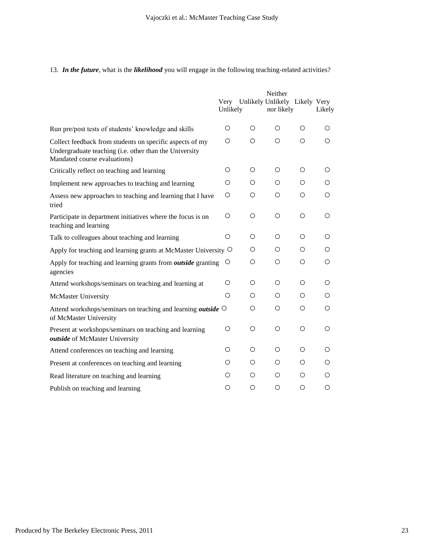## 13. *In the future*, what is the *likelihood* you will engage in the following teaching-related activities?

|                                                                                                                                                    |                  |                               | Neither    |            |            |
|----------------------------------------------------------------------------------------------------------------------------------------------------|------------------|-------------------------------|------------|------------|------------|
|                                                                                                                                                    | Very<br>Unlikely | Unlikely Unlikely Likely Very | nor likely |            | Likely     |
| Run pre/post tests of students' knowledge and skills                                                                                               | O                | O                             | O          | O          | O          |
| Collect feedback from students on specific aspects of my<br>Undergraduate teaching (i.e. other than the University<br>Mandated course evaluations) | $\bigcirc$       | $\bigcirc$                    | $\bigcirc$ | $\circ$    | $\bigcirc$ |
| Critically reflect on teaching and learning                                                                                                        | $\bigcirc$       | $\bigcirc$                    | $\bigcirc$ | $\bigcirc$ | O          |
| Implement new approaches to teaching and learning                                                                                                  | $\circ$          | $\circ$                       | O          | $\circ$    | $\circ$    |
| Assess new approaches to teaching and learning that I have<br>tried                                                                                | $\circ$          | $\circ$                       | $\circ$    | $\circ$    | $\bigcirc$ |
| Participate in department initiatives where the focus is on<br>teaching and learning                                                               | $\bigcirc$       | $\bigcirc$                    | $\bigcirc$ | $\bigcirc$ | $\bigcirc$ |
| Talk to colleagues about teaching and learning                                                                                                     | O                | O                             | O          | $\bigcirc$ | O          |
| Apply for teaching and learning grants at McMaster University $\circ$                                                                              |                  | O                             | O          | $\bigcirc$ | O          |
| Apply for teaching and learning grants from <i>outside</i> granting<br>agencies                                                                    | O                | $\circ$                       | $\circ$    | $\circ$    | $\circ$    |
| Attend workshops/seminars on teaching and learning at                                                                                              | $\circ$          | $\bigcirc$                    | $\bigcirc$ | $\bigcirc$ | $\bigcirc$ |
| <b>McMaster University</b>                                                                                                                         | $\circ$          | $\circ$                       | $\circ$    | $\circ$    | $\circ$    |
| Attend workshops/seminars on teaching and learning <i>outside</i> $\circ$<br>of McMaster University                                                |                  | $\circ$                       | O          | O          | O          |
| Present at workshops/seminars on teaching and learning<br>outside of McMaster University                                                           | $\bigcirc$       | $\bigcirc$                    | $\bigcirc$ | $\bigcirc$ | $\bigcirc$ |
| Attend conferences on teaching and learning                                                                                                        | O                | O                             | $\bigcirc$ | $\bigcirc$ | O          |
| Present at conferences on teaching and learning                                                                                                    | Ο                | $\bigcirc$                    | $\bigcirc$ | $\bigcirc$ | $\bigcirc$ |
| Read literature on teaching and learning                                                                                                           | $\circ$          | $\circ$                       | $\circ$    | $\circ$    | $\circ$    |
| Publish on teaching and learning                                                                                                                   | O                | O                             | O          | $\bigcirc$ | $\circ$    |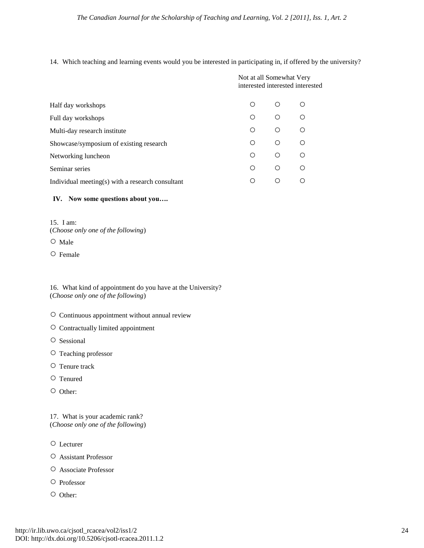14. Which teaching and learning events would you be interested in participating in, if offered by the university?

|                                                  |   | Not at all Somewhat Very<br>interested interested interested |           |  |  |
|--------------------------------------------------|---|--------------------------------------------------------------|-----------|--|--|
| Half day workshops                               | ∩ | ∩                                                            | ∩         |  |  |
| Full day workshops                               | ∩ | $\bigcirc$                                                   | $\bigcap$ |  |  |
| Multi-day research institute                     | ∩ | O                                                            | ∩         |  |  |
| Showcase/symposium of existing research          | ∩ | $\bigcirc$                                                   | ∩         |  |  |
| Networking luncheon                              | ∩ | $\bigcirc$                                                   | ∩         |  |  |
| Seminar series                                   | ◯ | $\bigcirc$                                                   | ∩         |  |  |
| Individual meeting(s) with a research consultant | ◯ | ∩                                                            | ∩         |  |  |
|                                                  |   |                                                              |           |  |  |

## **IV. Now some questions about you….**

15. I am: (*Choose only one of the following*) ○ Male

○ Female

16. What kind of appointment do you have at the University? (*Choose only one of the following*)

- Continuous appointment without annual review
- Contractually limited appointment
- Sessional
- Teaching professor
- Tenure track
- Tenured
- Other:

17. What is your academic rank? (*Choose only one of the following*)

○ Lecturer

- Assistant Professor
- Associate Professor
- Professor
- Other: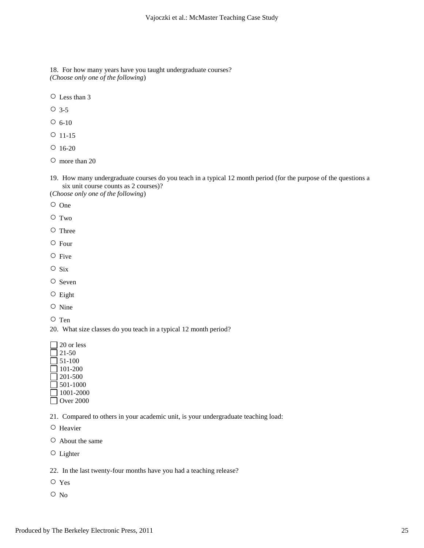18. For how many years have you taught undergraduate courses? *(Choose only one of the following*)

○ Less than 3

○ 3-5

 $O_6 - 10$ 

- 11-15
- $O$  16-20

○ more than 20

19. How many undergraduate courses do you teach in a typical 12 month period (for the purpose of the questions a six unit course counts as 2 courses)?

(*Choose only one of the following*)

- One
- Two
- Three
- Four
- Five
- Six
- Seven
- Eight
- Nine
- Ten

20. What size classes do you teach in a typical 12 month period?

 $\Box$  20 or less

 $\Box$  21-50  $\Box$  51-100 101-200  $201-500$ 501-1000 1001-2000 ■ Over 2000

21. Compared to others in your academic unit, is your undergraduate teaching load:

- Heavier
- About the same

○ Lighter

22. In the last twenty-four months have you had a teaching release?

- Yes
- No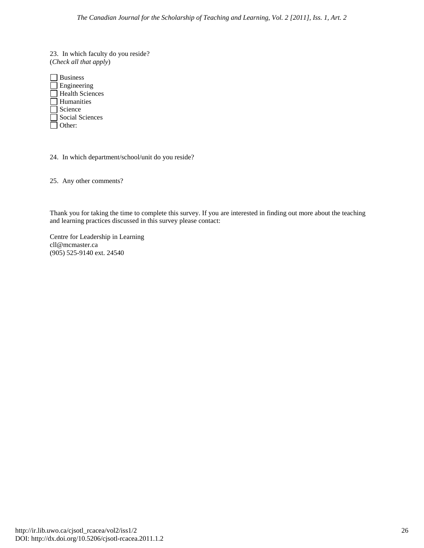23. In which faculty do you reside? (*Check all that apply*)

| <b>Business</b>        |
|------------------------|
| Engineering            |
| <b>Health Sciences</b> |
| Humanities             |
| Science                |
| Social Sciences        |
| Other:                 |

24. In which department/school/unit do you reside?

25. Any other comments?

Thank you for taking the time to complete this survey. If you are interested in finding out more about the teaching and learning practices discussed in this survey please contact:

Centre for Leadership in Learning cll@mcmaster.ca (905) 525-9140 ext. 24540